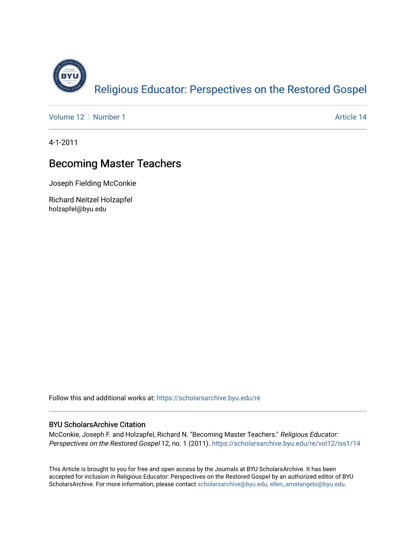

[Volume 12](https://scholarsarchive.byu.edu/re/vol12) [Number 1](https://scholarsarchive.byu.edu/re/vol12/iss1) Article 14

4-1-2011

# Becoming Master Teachers

Joseph Fielding McConkie

Richard Neitzel Holzapfel holzapfel@byu.edu

Follow this and additional works at: [https://scholarsarchive.byu.edu/re](https://scholarsarchive.byu.edu/re?utm_source=scholarsarchive.byu.edu%2Fre%2Fvol12%2Fiss1%2F14&utm_medium=PDF&utm_campaign=PDFCoverPages)

### BYU ScholarsArchive Citation

McConkie, Joseph F. and Holzapfel, Richard N. "Becoming Master Teachers." Religious Educator: Perspectives on the Restored Gospel 12, no. 1 (2011). https://scholarsarchive.byu.edu/re/vol12/iss1/14

This Article is brought to you for free and open access by the Journals at BYU ScholarsArchive. It has been accepted for inclusion in Religious Educator: Perspectives on the Restored Gospel by an authorized editor of BYU ScholarsArchive. For more information, please contact [scholarsarchive@byu.edu, ellen\\_amatangelo@byu.edu.](mailto:scholarsarchive@byu.edu,%20ellen_amatangelo@byu.edu)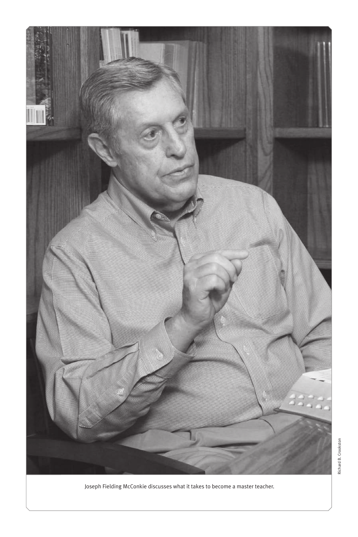

Joseph Fielding McConkie discusses what it takes to become a master teacher.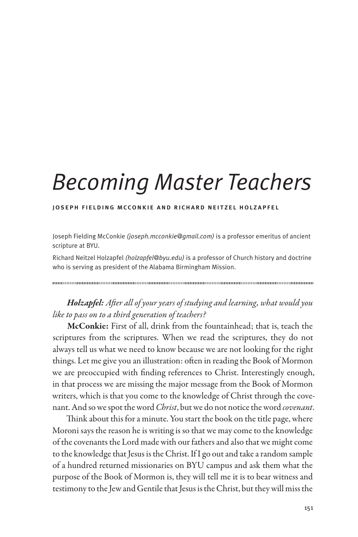# *Becoming Master Teachers*

#### joseph fielding mcconkie and richard neitzel holzapfel

Joseph Fielding McConkie *(joseph.mcconkie@gmail.com)* is a professor emeritus of ancient scripture at BYU.

Richard Neitzel Holzapfel *(holzapfel@byu.edu)* is a professor of Church history and doctrine who is serving as president of the Alabama Birmingham Mission.

# *Holzapfel: After all of your years of studying and learning, what would you like to pass on to a third generation of teachers?*

McConkie: First of all, drink from the fountainhead; that is, teach the scriptures from the scriptures. When we read the scriptures, they do not always tell us what we need to know because we are not looking for the right things. Let me give you an illustration: often in reading the Book of Mormon we are preoccupied with finding references to Christ. Interestingly enough, in that process we are missing the major message from the Book of Mormon writers, which is that you come to the knowledge of Christ through the covenant. And so we spot the word *Christ*, but we do not notice the word *covenant*.

Think about this for a minute. You start the book on the title page, where Moroni says the reason he is writing is so that we may come to the knowledge of the covenants the Lord made with our fathers and also that we might come to the knowledge that Jesus is the Christ. If I go out and take a random sample of a hundred returned missionaries on BYU campus and ask them what the purpose of the Book of Mormon is, they will tell me it is to bear witness and testimony to the Jew and Gentile that Jesus is the Christ, but they will miss the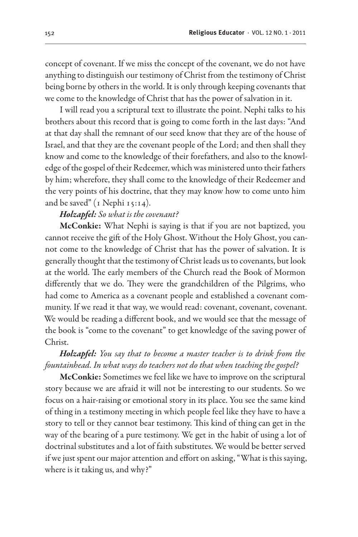concept of covenant. If we miss the concept of the covenant, we do not have anything to distinguish our testimony of Christ from the testimony of Christ being borne by others in the world. It is only through keeping covenants that we come to the knowledge of Christ that has the power of salvation in it.

I will read you a scriptural text to illustrate the point. Nephi talks to his brothers about this record that is going to come forth in the last days: "And at that day shall the remnant of our seed know that they are of the house of Israel, and that they are the covenant people of the Lord; and then shall they know and come to the knowledge of their forefathers, and also to the knowledge of the gospel of their Redeemer, which was ministered unto their fathers by him; wherefore, they shall come to the knowledge of their Redeemer and the very points of his doctrine, that they may know how to come unto him and be saved" (1 Nephi 15:14).

#### *Holzapfel: So what is the covenant?*

McConkie: What Nephi is saying is that if you are not baptized, you cannot receive the gift of the Holy Ghost. Without the Holy Ghost, you cannot come to the knowledge of Christ that has the power of salvation. It is generally thought that the testimony of Christ leads us to covenants, but look at the world. The early members of the Church read the Book of Mormon differently that we do. They were the grandchildren of the Pilgrims, who had come to America as a covenant people and established a covenant community. If we read it that way, we would read: covenant, covenant, covenant. We would be reading a different book, and we would see that the message of the book is "come to the covenant" to get knowledge of the saving power of Christ.

# *Holzapfel: You say that to become a master teacher is to drink from the fountainhead. In what ways do teachers not do that when teaching the gospel?*

McConkie: Sometimes we feel like we have to improve on the scriptural story because we are afraid it will not be interesting to our students. So we focus on a hair-raising or emotional story in its place. You see the same kind of thing in a testimony meeting in which people feel like they have to have a story to tell or they cannot bear testimony. This kind of thing can get in the way of the bearing of a pure testimony. We get in the habit of using a lot of doctrinal substitutes and a lot of faith substitutes. We would be better served if we just spent our major attention and effort on asking, "What is this saying, where is it taking us, and why?"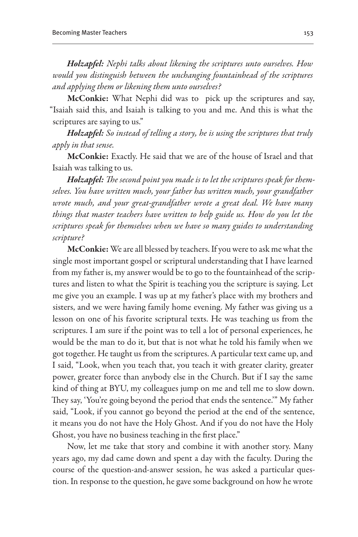*Holzapfel: Nephi talks about likening the scriptures unto ourselves. How would you distinguish between the unchanging fountainhead of the scriptures and applying them or likening them unto ourselves?*

McConkie: What Nephi did was to pick up the scriptures and say, "Isaiah said this, and Isaiah is talking to you and me. And this is what the scriptures are saying to us."

*Holzapfel: So instead of telling a story, he is using the scriptures that truly apply in that sense.*

McConkie: Exactly. He said that we are of the house of Israel and that Isaiah was talking to us.

*Holzapfel: The second point you made is to let the scriptures speak for themselves. You have written much, your father has written much, your grandfather wrote much, and your great-grandfather wrote a great deal. We have many things that master teachers have written to help guide us. How do you let the scriptures speak for themselves when we have so many guides to understanding scripture?*

McConkie: We are all blessed by teachers. If you were to ask me what the single most important gospel or scriptural understanding that I have learned from my father is, my answer would be to go to the fountainhead of the scriptures and listen to what the Spirit is teaching you the scripture is saying. Let me give you an example. I was up at my father's place with my brothers and sisters, and we were having family home evening. My father was giving us a lesson on one of his favorite scriptural texts. He was teaching us from the scriptures. I am sure if the point was to tell a lot of personal experiences, he would be the man to do it, but that is not what he told his family when we got together. He taught us from the scriptures. A particular text came up, and I said, "Look, when you teach that, you teach it with greater clarity, greater power, greater force than anybody else in the Church. But if I say the same kind of thing at BYU, my colleagues jump on me and tell me to slow down. They say, 'You're going beyond the period that ends the sentence.'" My father said, "Look, if you cannot go beyond the period at the end of the sentence, it means you do not have the Holy Ghost. And if you do not have the Holy Ghost, you have no business teaching in the first place."

Now, let me take that story and combine it with another story. Many years ago, my dad came down and spent a day with the faculty. During the course of the question-and-answer session, he was asked a particular question. In response to the question, he gave some background on how he wrote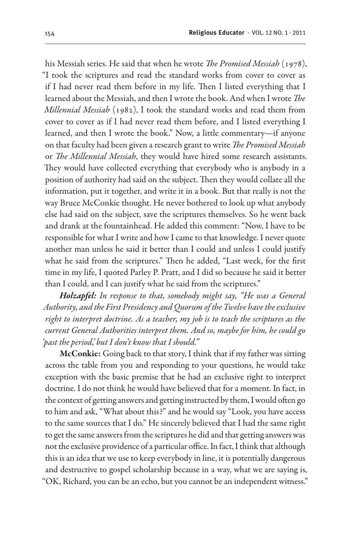his Messiah series. He said that when he wrote *The Promised Messiah* (1978), "I took the scriptures and read the standard works from cover to cover as if I had never read them before in my life. Then I listed everything that I learned about the Messiah, and then I wrote the book. And when I wrote *The Millennial Messiah* (1982), I took the standard works and read them from cover to cover as if I had never read them before, and I listed everything I learned, and then I wrote the book." Now, a little commentary—if anyone on that faculty had been given a research grant to write *The Promised Messiah* or *The Millennial Messiah*, they would have hired some research assistants. They would have collected everything that everybody who is anybody in a position of authority had said on the subject. Then they would collate all the information, put it together, and write it in a book. But that really is not the way Bruce McConkie thought. He never bothered to look up what anybody else had said on the subject, save the scriptures themselves. So he went back and drank at the fountainhead. He added this comment: "Now, I have to be responsible for what I write and how I came to that knowledge. I never quote another man unless he said it better than I could and unless I could justify what he said from the scriptures." Then he added, "Last week, for the first time in my life, I quoted Parley P. Pratt, and I did so because he said it better than I could, and I can justify what he said from the scriptures."

*Holzapfel: In response to that, somebody might say, "He was a General Authority, and the First Presidency and Quorum of the Twelve have the exclusive right to interpret doctrine. As a teacher, my job is to teach the scriptures as the current General Authorities interpret them. And so, maybe for him, he could go 'past the period,' but I don't know that I should."*

McConkie: Going back to that story, I think that if my father was sitting across the table from you and responding to your questions, he would take exception with the basic premise that he had an exclusive right to interpret doctrine. I do not think he would have believed that for a moment. In fact, in the context of getting answers and getting instructed by them, I would often go to him and ask, "What about this?" and he would say "Look, you have access to the same sources that I do." He sincerely believed that I had the same right to get the same answers from the scriptures he did and that getting answers was not the exclusive providence of a particular office. In fact, I think that although this is an idea that we use to keep everybody in line, it is potentially dangerous and destructive to gospel scholarship because in a way, what we are saying is, "OK, Richard, you can be an echo, but you cannot be an independent witness."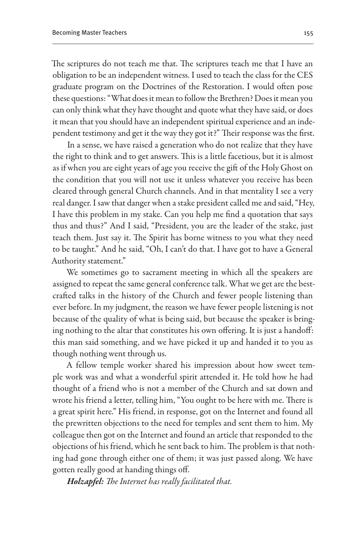The scriptures do not teach me that. The scriptures teach me that I have an obligation to be an independent witness. I used to teach the class for the CES graduate program on the Doctrines of the Restoration. I would often pose these questions: "What does it mean to follow the Brethren? Does it mean you can only think what they have thought and quote what they have said, or does it mean that you should have an independent spiritual experience and an independent testimony and get it the way they got it?" Their response was the first.

In a sense, we have raised a generation who do not realize that they have the right to think and to get answers. This is a little facetious, but it is almost as if when you are eight years of age you receive the gift of the Holy Ghost on the condition that you will not use it unless whatever you receive has been cleared through general Church channels. And in that mentality I see a very real danger. I saw that danger when a stake president called me and said, "Hey, I have this problem in my stake. Can you help me find a quotation that says thus and thus?" And I said, "President, you are the leader of the stake, just teach them. Just say it. The Spirit has borne witness to you what they need to be taught." And he said, "Oh, I can't do that. I have got to have a General Authority statement."

We sometimes go to sacrament meeting in which all the speakers are assigned to repeat the same general conference talk. What we get are the bestcrafted talks in the history of the Church and fewer people listening than ever before. In my judgment, the reason we have fewer people listening is not because of the quality of what is being said, but because the speaker is bringing nothing to the altar that constitutes his own offering. It is just a handoff: this man said something, and we have picked it up and handed it to you as though nothing went through us.

A fellow temple worker shared his impression about how sweet temple work was and what a wonderful spirit attended it. He told how he had thought of a friend who is not a member of the Church and sat down and wrote his friend a letter, telling him, "You ought to be here with me. There is a great spirit here." His friend, in response, got on the Internet and found all the prewritten objections to the need for temples and sent them to him. My colleague then got on the Internet and found an article that responded to the objections of his friend, which he sent back to him. The problem is that nothing had gone through either one of them; it was just passed along. We have gotten really good at handing things off.

*Holzapfel: The Internet has really facilitated that.*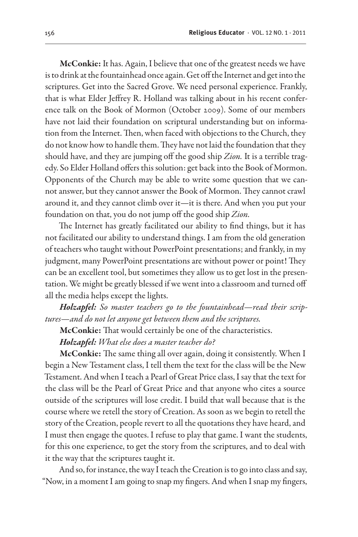McConkie: It has. Again, I believe that one of the greatest needs we have is to drink at the fountainhead once again. Get off the Internet and get into the scriptures. Get into the Sacred Grove. We need personal experience. Frankly, that is what Elder Jeffrey R. Holland was talking about in his recent conference talk on the Book of Mormon (October 2009). Some of our members have not laid their foundation on scriptural understanding but on information from the Internet. Then, when faced with objections to the Church, they do not know how to handle them. They have not laid the foundation that they should have, and they are jumping off the good ship *Zion.* It is a terrible tragedy. So Elder Holland offers this solution: get back into the Book of Mormon. Opponents of the Church may be able to write some question that we cannot answer, but they cannot answer the Book of Mormon. They cannot crawl around it, and they cannot climb over it—it is there. And when you put your foundation on that, you do not jump off the good ship *Zion.*

The Internet has greatly facilitated our ability to find things, but it has not facilitated our ability to understand things. I am from the old generation of teachers who taught without PowerPoint presentations; and frankly, in my judgment, many PowerPoint presentations are without power or point! They can be an excellent tool, but sometimes they allow us to get lost in the presentation. We might be greatly blessed if we went into a classroom and turned off all the media helps except the lights.

*Holzapfel: So master teachers go to the fountainhead—read their scriptures—and do not let anyone get between them and the scriptures.* 

McConkie: That would certainly be one of the characteristics.

*Holzapfel: What else does a master teacher do?*

McConkie: The same thing all over again, doing it consistently. When I begin a New Testament class, I tell them the text for the class will be the New Testament. And when I teach a Pearl of Great Price class, I say that the text for the class will be the Pearl of Great Price and that anyone who cites a source outside of the scriptures will lose credit. I build that wall because that is the course where we retell the story of Creation. As soon as we begin to retell the story of the Creation, people revert to all the quotations they have heard, and I must then engage the quotes. I refuse to play that game. I want the students, for this one experience, to get the story from the scriptures, and to deal with it the way that the scriptures taught it.

And so, for instance, the way I teach the Creation is to go into class and say, "Now, in a moment I am going to snap my fingers. And when I snap my fingers,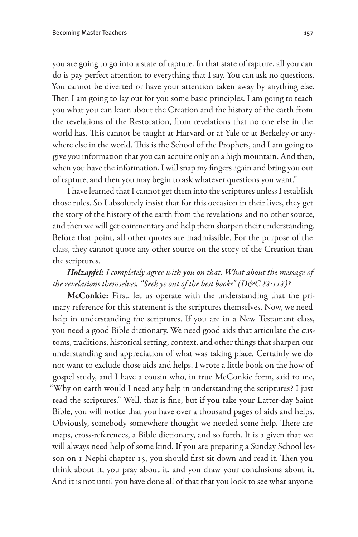you are going to go into a state of rapture. In that state of rapture, all you can do is pay perfect attention to everything that I say. You can ask no questions. You cannot be diverted or have your attention taken away by anything else. Then I am going to lay out for you some basic principles. I am going to teach you what you can learn about the Creation and the history of the earth from the revelations of the Restoration, from revelations that no one else in the world has. This cannot be taught at Harvard or at Yale or at Berkeley or anywhere else in the world. This is the School of the Prophets, and I am going to give you information that you can acquire only on a high mountain. And then, when you have the information, I will snap my fingers again and bring you out of rapture, and then you may begin to ask whatever questions you want."

I have learned that I cannot get them into the scriptures unless I establish those rules. So I absolutely insist that for this occasion in their lives, they get the story of the history of the earth from the revelations and no other source, and then we will get commentary and help them sharpen their understanding. Before that point, all other quotes are inadmissible. For the purpose of the class, they cannot quote any other source on the story of the Creation than the scriptures.

## *Holzapfel: I completely agree with you on that. What about the message of*  the revelations themselves, "Seek ye out of the best books" (D&C 88:118)?

McConkie: First, let us operate with the understanding that the primary reference for this statement is the scriptures themselves. Now, we need help in understanding the scriptures. If you are in a New Testament class, you need a good Bible dictionary. We need good aids that articulate the customs, traditions, historical setting, context, and other things that sharpen our understanding and appreciation of what was taking place. Certainly we do not want to exclude those aids and helps. I wrote a little book on the how of gospel study, and I have a cousin who, in true McConkie form, said to me, "Why on earth would I need any help in understanding the scriptures? I just read the scriptures." Well, that is fine, but if you take your Latter-day Saint Bible, you will notice that you have over a thousand pages of aids and helps. Obviously, somebody somewhere thought we needed some help. There are maps, cross-references, a Bible dictionary, and so forth. It is a given that we will always need help of some kind. If you are preparing a Sunday School lesson on 1 Nephi chapter 15, you should first sit down and read it. Then you think about it, you pray about it, and you draw your conclusions about it. And it is not until you have done all of that that you look to see what anyone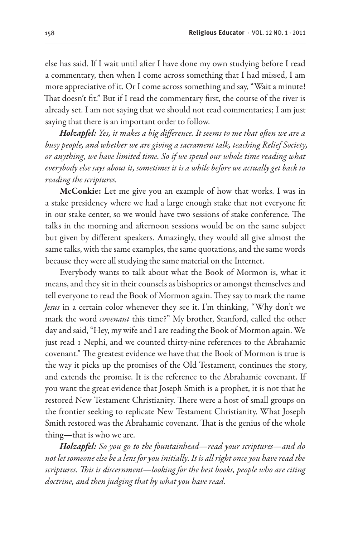else has said. If I wait until after I have done my own studying before I read a commentary, then when I come across something that I had missed, I am more appreciative of it. Or I come across something and say, "Wait a minute! That doesn't fit." But if I read the commentary first, the course of the river is already set. I am not saying that we should not read commentaries; I am just saying that there is an important order to follow.

*Holzapfel: Yes, it makes a big difference. It seems to me that often we are a busy people, and whether we are giving a sacrament talk, teaching Relief Society, or anything, we have limited time. So if we spend our whole time reading what everybody else says about it, sometimes it is a while before we actually get back to reading the scriptures.*

McConkie: Let me give you an example of how that works. I was in a stake presidency where we had a large enough stake that not everyone fit in our stake center, so we would have two sessions of stake conference. The talks in the morning and afternoon sessions would be on the same subject but given by different speakers. Amazingly, they would all give almost the same talks, with the same examples, the same quotations, and the same words because they were all studying the same material on the Internet.

Everybody wants to talk about what the Book of Mormon is, what it means, and they sit in their counsels as bishoprics or amongst themselves and tell everyone to read the Book of Mormon again. They say to mark the name *Jesus* in a certain color whenever they see it. I'm thinking, "Why don't we mark the word *covenant* this time?" My brother, Stanford, called the other day and said, "Hey, my wife and I are reading the Book of Mormon again. We just read 1 Nephi, and we counted thirty-nine references to the Abrahamic covenant." The greatest evidence we have that the Book of Mormon is true is the way it picks up the promises of the Old Testament, continues the story, and extends the promise. It is the reference to the Abrahamic covenant. If you want the great evidence that Joseph Smith is a prophet, it is not that he restored New Testament Christianity. There were a host of small groups on the frontier seeking to replicate New Testament Christianity. What Joseph Smith restored was the Abrahamic covenant. That is the genius of the whole thing—that is who we are.

*Holzapfel: So you go to the fountainhead—read your scriptures—and do not let someone else be a lens for you initially. It is all right once you have read the scriptures. This is discernment—looking for the best books, people who are citing doctrine, and then judging that by what you have read.*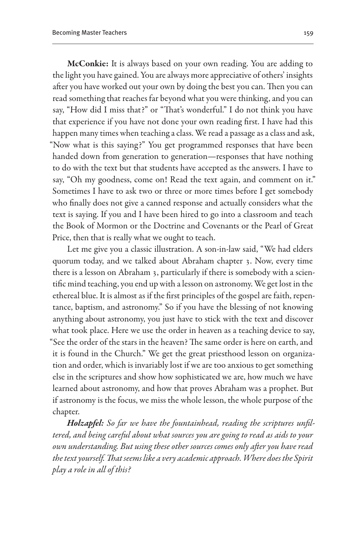McConkie: It is always based on your own reading. You are adding to the light you have gained. You are always more appreciative of others' insights after you have worked out your own by doing the best you can. Then you can read something that reaches far beyond what you were thinking, and you can say, "How did I miss that?" or "That's wonderful." I do not think you have that experience if you have not done your own reading first. I have had this happen many times when teaching a class. We read a passage as a class and ask, "Now what is this saying?" You get programmed responses that have been handed down from generation to generation—responses that have nothing to do with the text but that students have accepted as the answers. I have to say, "Oh my goodness, come on! Read the text again, and comment on it." Sometimes I have to ask two or three or more times before I get somebody who finally does not give a canned response and actually considers what the text is saying. If you and I have been hired to go into a classroom and teach the Book of Mormon or the Doctrine and Covenants or the Pearl of Great Price, then that is really what we ought to teach.

Let me give you a classic illustration. A son-in-law said, "We had elders quorum today, and we talked about Abraham chapter 3. Now, every time there is a lesson on Abraham 3, particularly if there is somebody with a scientific mind teaching, you end up with a lesson on astronomy. We get lost in the ethereal blue. It is almost as if the first principles of the gospel are faith, repentance, baptism, and astronomy." So if you have the blessing of not knowing anything about astronomy, you just have to stick with the text and discover what took place. Here we use the order in heaven as a teaching device to say, "See the order of the stars in the heaven? The same order is here on earth, and it is found in the Church." We get the great priesthood lesson on organization and order, which is invariably lost if we are too anxious to get something else in the scriptures and show how sophisticated we are, how much we have learned about astronomy, and how that proves Abraham was a prophet. But if astronomy is the focus, we miss the whole lesson, the whole purpose of the chapter.

*Holzapfel: So far we have the fountainhead, reading the scriptures unfiltered, and being careful about what sources you are going to read as aids to your own understanding. But using these other sources comes only after you have read the text yourself. That seems like a very academic approach. Where does the Spirit play a role in all of this?*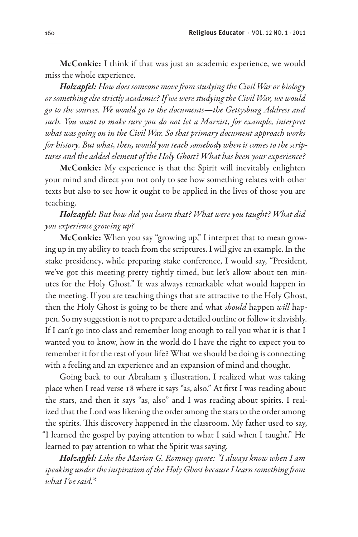McConkie: I think if that was just an academic experience, we would miss the whole experience.

*Holzapfel: How does someone move from studying the Civil War or biology or something else strictly academic? If we were studying the Civil War, we would go to the sources. We would go to the documents—the Gettysburg Address and such. You want to make sure you do not let a Marxist, for example, interpret what was going on in the Civil War. So that primary document approach works for history. But what, then, would you teach somebody when it comes to the scriptures and the added element of the Holy Ghost? What has been your experience?*

McConkie: My experience is that the Spirit will inevitably enlighten your mind and direct you not only to see how something relates with other texts but also to see how it ought to be applied in the lives of those you are teaching.

# *Holzapfel: But how did you learn that? What were you taught? What did you experience growing up?*

McConkie: When you say "growing up," I interpret that to mean growing up in my ability to teach from the scriptures. I will give an example. In the stake presidency, while preparing stake conference, I would say, "President, we've got this meeting pretty tightly timed, but let's allow about ten minutes for the Holy Ghost." It was always remarkable what would happen in the meeting. If you are teaching things that are attractive to the Holy Ghost, then the Holy Ghost is going to be there and what *should* happen *will* happen. So my suggestion is not to prepare a detailed outline or follow it slavishly. If I can't go into class and remember long enough to tell you what it is that I wanted you to know, how in the world do I have the right to expect you to remember it for the rest of your life? What we should be doing is connecting with a feeling and an experience and an expansion of mind and thought.

Going back to our Abraham 3 illustration, I realized what was taking place when I read verse 18 where it says "as, also." At first I was reading about the stars, and then it says "as, also" and I was reading about spirits. I realized that the Lord was likening the order among the stars to the order among the spirits. This discovery happened in the classroom. My father used to say, "I learned the gospel by paying attention to what I said when I taught." He learned to pay attention to what the Spirit was saying.

*Holzapfel: Like the Marion G. Romney quote: "I always know when I am speaking under the inspiration of the Holy Ghost because I learn something from what I've said."1*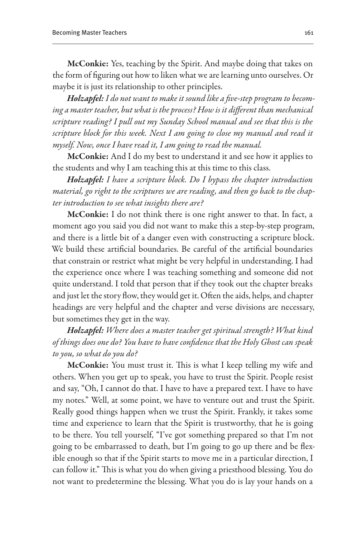McConkie: Yes, teaching by the Spirit. And maybe doing that takes on the form of figuring out how to liken what we are learning unto ourselves. Or maybe it is just its relationship to other principles.

*Holzapfel: I do not want to make it sound like a five-step program to becoming a master teacher, but what is the process? How is it different than mechanical scripture reading? I pull out my Sunday School manual and see that this is the scripture block for this week. Next I am going to close my manual and read it myself. Now, once I have read it, I am going to read the manual.*

McConkie: And I do my best to understand it and see how it applies to the students and why I am teaching this at this time to this class.

*Holzapfel: I have a scripture block. Do I bypass the chapter introduction material, go right to the scriptures we are reading, and then go back to the chapter introduction to see what insights there are?*

McConkie: I do not think there is one right answer to that. In fact, a moment ago you said you did not want to make this a step-by-step program, and there is a little bit of a danger even with constructing a scripture block. We build these artificial boundaries. Be careful of the artificial boundaries that constrain or restrict what might be very helpful in understanding. I had the experience once where I was teaching something and someone did not quite understand. I told that person that if they took out the chapter breaks and just let the story flow, they would get it. Often the aids, helps, and chapter headings are very helpful and the chapter and verse divisions are necessary, but sometimes they get in the way.

*Holzapfel: Where does a master teacher get spiritual strength? What kind of things does one do? You have to have confidence that the Holy Ghost can speak to you, so what do you do?*

McConkie: You must trust it. This is what I keep telling my wife and others. When you get up to speak, you have to trust the Spirit. People resist and say, "Oh, I cannot do that. I have to have a prepared text. I have to have my notes." Well, at some point, we have to venture out and trust the Spirit. Really good things happen when we trust the Spirit. Frankly, it takes some time and experience to learn that the Spirit is trustworthy, that he is going to be there. You tell yourself, "I've got something prepared so that I'm not going to be embarrassed to death, but I'm going to go up there and be flexible enough so that if the Spirit starts to move me in a particular direction, I can follow it." This is what you do when giving a priesthood blessing. You do not want to predetermine the blessing. What you do is lay your hands on a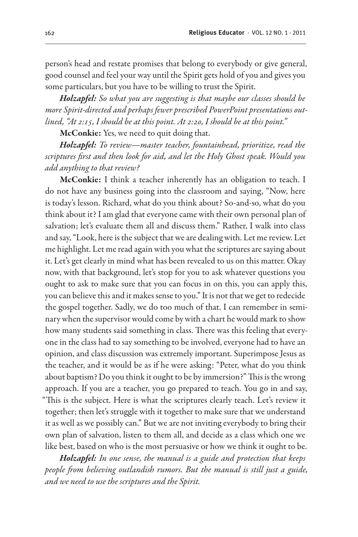person's head and restate promises that belong to everybody or give general, good counsel and feel your way until the Spirit gets hold of you and gives you some particulars, but you have to be willing to trust the Spirit.

*Holzapfel: So what you are suggesting is that maybe our classes should be more Spirit-directed and perhaps fewer prescribed PowerPoint presentations outlined, "At 2:15, I should be at this point. At 2:20, I should be at this point."*

McConkie: Yes, we need to quit doing that.

*Holzapfel: To review—master teacher, fountainhead, prioritize, read the scriptures first and then look for aid, and let the Holy Ghost speak. Would you add anything to that review?*

McConkie: I think a teacher inherently has an obligation to teach. I do not have any business going into the classroom and saying, "Now, here is today's lesson. Richard, what do you think about? So-and-so, what do you think about it? I am glad that everyone came with their own personal plan of salvation; let's evaluate them all and discuss them." Rather, I walk into class and say, "Look, here is the subject that we are dealing with. Let me review. Let me highlight. Let me read again with you what the scriptures are saying about it. Let's get clearly in mind what has been revealed to us on this matter. Okay now, with that background, let's stop for you to ask whatever questions you ought to ask to make sure that you can focus in on this, you can apply this, you can believe this and it makes sense to you." It is not that we get to redecide the gospel together. Sadly, we do too much of that. I can remember in seminary when the supervisor would come by with a chart he would mark to show how many students said something in class. There was this feeling that everyone in the class had to say something to be involved, everyone had to have an opinion, and class discussion was extremely important. Superimpose Jesus as the teacher, and it would be as if he were asking: "Peter, what do you think about baptism? Do you think it ought to be by immersion?" This is the wrong approach. If you are a teacher, you go prepared to teach. You go in and say, "This is the subject. Here is what the scriptures clearly teach. Let's review it together; then let's struggle with it together to make sure that we understand it as well as we possibly can." But we are not inviting everybody to bring their own plan of salvation, listen to them all, and decide as a class which one we like best, based on who is the most persuasive or how we think it ought to be.

*Holzapfel: In one sense, the manual is a guide and protection that keeps people from believing outlandish rumors. But the manual is still just a guide, and we need to use the scriptures and the Spirit.*